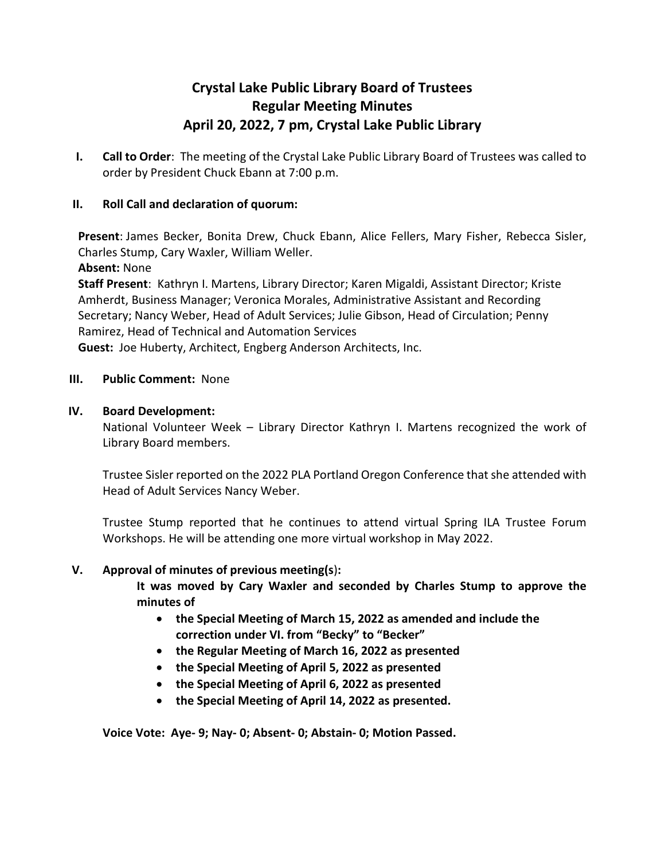# **Crystal Lake Public Library Board of Trustees Regular Meeting Minutes April 20, 2022, 7 pm, Crystal Lake Public Library**

**I. Call to Order**: The meeting of the Crystal Lake Public Library Board of Trustees was called to order by President Chuck Ebann at 7:00 p.m.

## **II. Roll Call and declaration of quorum:**

**Present**: James Becker, Bonita Drew, Chuck Ebann, Alice Fellers, Mary Fisher, Rebecca Sisler, Charles Stump, Cary Waxler, William Weller.

**Absent:** None

**Staff Present**: Kathryn I. Martens, Library Director; Karen Migaldi, Assistant Director; Kriste Amherdt, Business Manager; Veronica Morales, Administrative Assistant and Recording Secretary; Nancy Weber, Head of Adult Services; Julie Gibson, Head of Circulation; Penny Ramirez, Head of Technical and Automation Services

**Guest:** Joe Huberty, Architect, Engberg Anderson Architects, Inc.

**III. Public Comment:** None

## **IV. Board Development:**

National Volunteer Week – Library Director Kathryn I. Martens recognized the work of Library Board members.

Trustee Sisler reported on the 2022 PLA Portland Oregon Conference that she attended with Head of Adult Services Nancy Weber.

Trustee Stump reported that he continues to attend virtual Spring ILA Trustee Forum Workshops. He will be attending one more virtual workshop in May 2022.

## **V. Approval of minutes of previous meeting(s**)**:**

**It was moved by Cary Waxler and seconded by Charles Stump to approve the minutes of**

- **the Special Meeting of March 15, 2022 as amended and include the correction under VI. from "Becky" to "Becker"**
- **the Regular Meeting of March 16, 2022 as presented**
- **the Special Meeting of April 5, 2022 as presented**
- **the Special Meeting of April 6, 2022 as presented**
- **the Special Meeting of April 14, 2022 as presented.**

**Voice Vote: Aye- 9; Nay- 0; Absent- 0; Abstain- 0; Motion Passed.**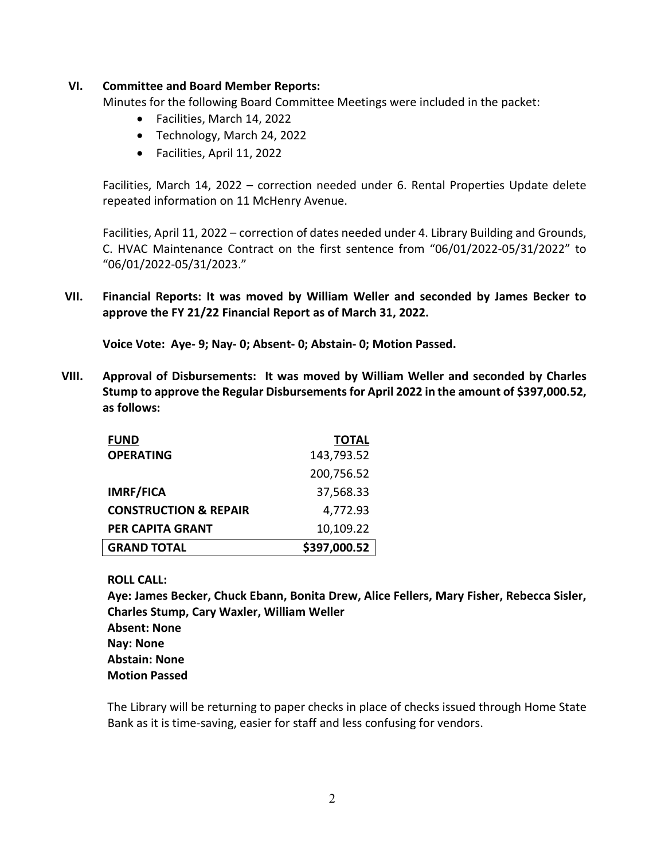### **VI. Committee and Board Member Reports:**

Minutes for the following Board Committee Meetings were included in the packet:

- Facilities, March 14, 2022
- Technology, March 24, 2022
- Facilities, April 11, 2022

Facilities, March 14, 2022 – correction needed under 6. Rental Properties Update delete repeated information on 11 McHenry Avenue.

Facilities, April 11, 2022 – correction of dates needed under 4. Library Building and Grounds, C. HVAC Maintenance Contract on the first sentence from "06/01/2022-05/31/2022" to "06/01/2022-05/31/2023."

**VII. Financial Reports: It was moved by William Weller and seconded by James Becker to approve the FY 21/22 Financial Report as of March 31, 2022.**

**Voice Vote: Aye- 9; Nay- 0; Absent- 0; Abstain- 0; Motion Passed.** 

**VIII. Approval of Disbursements: It was moved by William Weller and seconded by Charles Stump to approve the Regular Disbursementsfor April 2022 in the amount of \$397,000.52, as follows:**

| <b>FUND</b>                      | <b>TOTAL</b> |
|----------------------------------|--------------|
| <b>OPERATING</b>                 | 143,793.52   |
|                                  | 200,756.52   |
| <b>IMRF/FICA</b>                 | 37,568.33    |
| <b>CONSTRUCTION &amp; REPAIR</b> | 4,772.93     |
| <b>PER CAPITA GRANT</b>          | 10,109.22    |
| <b>GRAND TOTAL</b>               | \$397,000.52 |

### **ROLL CALL:**

**Aye: James Becker, Chuck Ebann, Bonita Drew, Alice Fellers, Mary Fisher, Rebecca Sisler, Charles Stump, Cary Waxler, William Weller Absent: None Nay: None Abstain: None Motion Passed**

The Library will be returning to paper checks in place of checks issued through Home State Bank as it is time-saving, easier for staff and less confusing for vendors.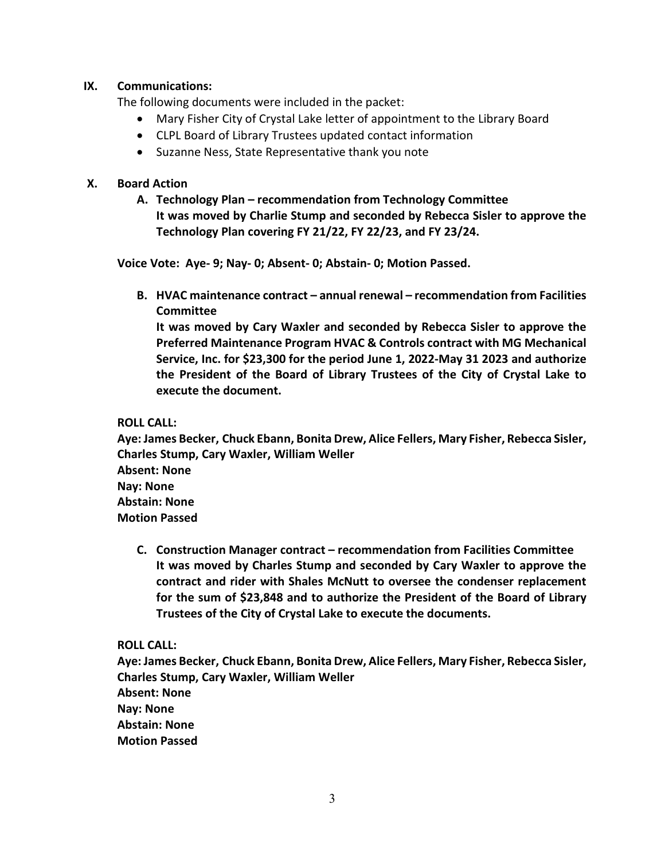### **IX. Communications:**

The following documents were included in the packet:

- Mary Fisher City of Crystal Lake letter of appointment to the Library Board
- CLPL Board of Library Trustees updated contact information
- Suzanne Ness, State Representative thank you note

### **X. Board Action**

**A. Technology Plan – recommendation from Technology Committee It was moved by Charlie Stump and seconded by Rebecca Sisler to approve the Technology Plan covering FY 21/22, FY 22/23, and FY 23/24.**

**Voice Vote: Aye- 9; Nay- 0; Absent- 0; Abstain- 0; Motion Passed.** 

**B. HVAC maintenance contract – annual renewal – recommendation from Facilities Committee**

**It was moved by Cary Waxler and seconded by Rebecca Sisler to approve the Preferred Maintenance Program HVAC & Controls contract with MG Mechanical Service, Inc. for \$23,300 for the period June 1, 2022-May 31 2023 and authorize the President of the Board of Library Trustees of the City of Crystal Lake to execute the document.**

### **ROLL CALL:**

**Aye: James Becker, Chuck Ebann, Bonita Drew, Alice Fellers, Mary Fisher, Rebecca Sisler, Charles Stump, Cary Waxler, William Weller Absent: None Nay: None Abstain: None Motion Passed**

**C. Construction Manager contract – recommendation from Facilities Committee It was moved by Charles Stump and seconded by Cary Waxler to approve the contract and rider with Shales McNutt to oversee the condenser replacement for the sum of \$23,848 and to authorize the President of the Board of Library Trustees of the City of Crystal Lake to execute the documents.**

**ROLL CALL:**

**Aye: James Becker, Chuck Ebann, Bonita Drew, Alice Fellers, Mary Fisher, Rebecca Sisler, Charles Stump, Cary Waxler, William Weller Absent: None Nay: None Abstain: None Motion Passed**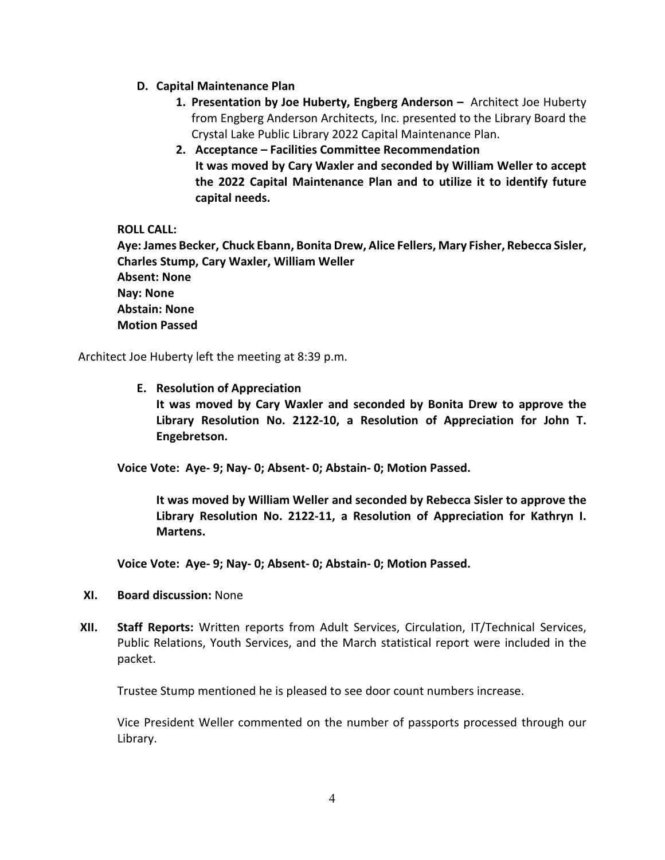- **D. Capital Maintenance Plan**
	- **1. Presentation by Joe Huberty, Engberg Anderson** Architect Joe Huberty from Engberg Anderson Architects, Inc. presented to the Library Board the Crystal Lake Public Library 2022 Capital Maintenance Plan.
	- **2. Acceptance – Facilities Committee Recommendation It was moved by Cary Waxler and seconded by William Weller to accept the 2022 Capital Maintenance Plan and to utilize it to identify future capital needs.**

### **ROLL CALL:**

**Aye: James Becker, Chuck Ebann, Bonita Drew, Alice Fellers, Mary Fisher, Rebecca Sisler, Charles Stump, Cary Waxler, William Weller Absent: None Nay: None Abstain: None Motion Passed**

Architect Joe Huberty left the meeting at 8:39 p.m.

**E. Resolution of Appreciation**

**It was moved by Cary Waxler and seconded by Bonita Drew to approve the Library Resolution No. 2122-10, a Resolution of Appreciation for John T. Engebretson.**

**Voice Vote: Aye- 9; Nay- 0; Absent- 0; Abstain- 0; Motion Passed.** 

**It was moved by William Weller and seconded by Rebecca Sisler to approve the Library Resolution No. 2122-11, a Resolution of Appreciation for Kathryn I. Martens.**

**Voice Vote: Aye- 9; Nay- 0; Absent- 0; Abstain- 0; Motion Passed.**

- **XI. Board discussion:** None
- **XII. Staff Reports:** Written reports from Adult Services, Circulation, IT/Technical Services, Public Relations, Youth Services, and the March statistical report were included in the packet.

Trustee Stump mentioned he is pleased to see door count numbers increase.

Vice President Weller commented on the number of passports processed through our Library.